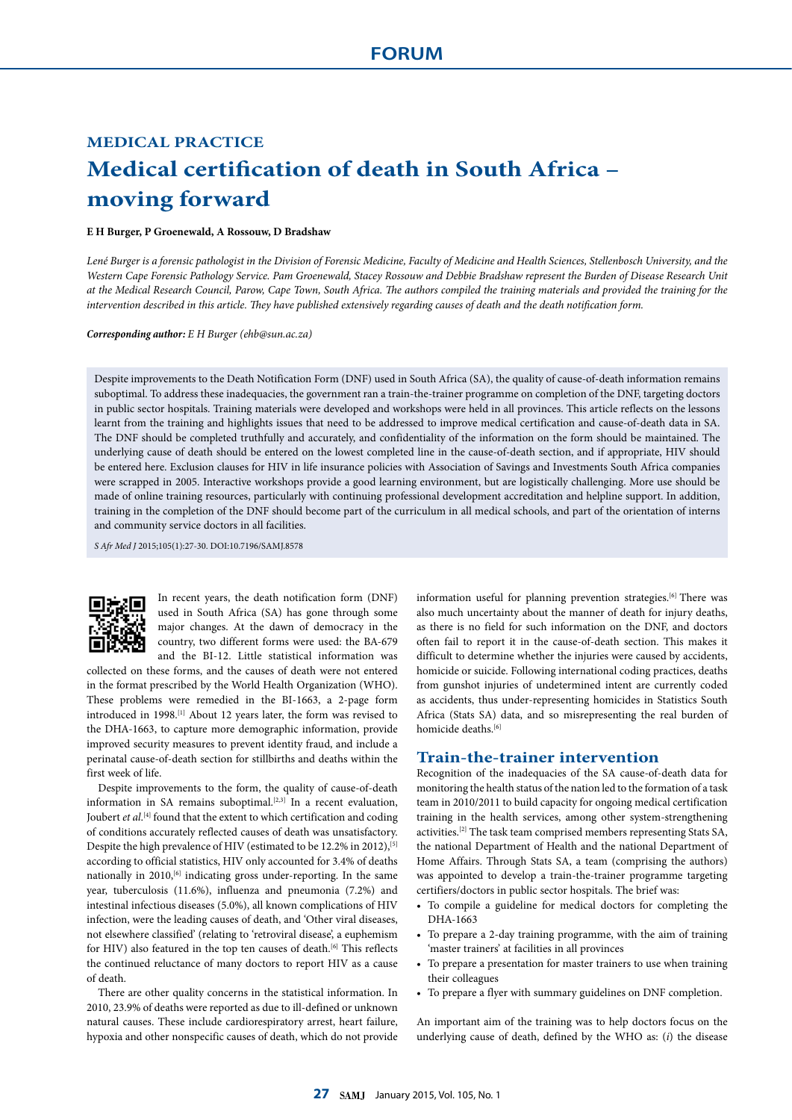# **MEDICAL PRACTICE Medical certification of death in South Africa – moving forward**

#### **E H Burger, P Groenewald, A Rossouw, D Bradshaw**

Lené Burger is a forensic pathologist in the Division of Forensic Medicine, Faculty of Medicine and Health Sciences, Stellenbosch University, and the *Western Cape Forensic Pathology Service. Pam Groenewald, Stacey Rossouw and Debbie Bradshaw represent the Burden of Disease Research Unit at the Medical Research Council, Parow, Cape Town, South Africa. The authors compiled the training materials and provided the training for the intervention described in this article. They have published extensively regarding causes of death and the death notification form.*

*Corresponding author: E H Burger (ehb@sun.ac.za)*

Despite improvements to the Death Notification Form (DNF) used in South Africa (SA), the quality of cause-of-death information remains suboptimal. To address these inadequacies, the government ran a train-the-trainer programme on completion of the DNF, targeting doctors in public sector hospitals. Training materials were developed and workshops were held in all provinces. This article reflects on the lessons learnt from the training and highlights issues that need to be addressed to improve medical certification and cause-of-death data in SA. The DNF should be completed truthfully and accurately, and confidentiality of the information on the form should be maintained. The underlying cause of death should be entered on the lowest completed line in the cause-of-death section, and if appropriate, HIV should be entered here. Exclusion clauses for HIV in life insurance policies with Association of Savings and Investments South Africa companies were scrapped in 2005. Interactive workshops provide a good learning environment, but are logistically challenging. More use should be made of online training resources, particularly with continuing professional development accreditation and helpline support. In addition, training in the completion of the DNF should become part of the curriculum in all medical schools, and part of the orientation of interns and community service doctors in all facilities.

*S Afr Med J* 2015;105(1):27-30. DOI:10.7196/SAMJ.8578



In recent years, the death notification form (DNF) used in South Africa (SA) has gone through some major changes. At the dawn of democracy in the country, two different forms were used: the BA-679 and the BI-12. Little statistical information was

collected on these forms, and the causes of death were not entered in the format prescribed by the World Health Organization (WHO). These problems were remedied in the BI-1663, a 2-page form introduced in 1998.<sup>[1]</sup> About 12 years later, the form was revised to the DHA-1663, to capture more demographic information, provide improved security measures to prevent identity fraud, and include a perinatal cause-of-death section for stillbirths and deaths within the first week of life.

Despite improvements to the form, the quality of cause-of-death information in SA remains suboptimal.<sup>[2,3]</sup> In a recent evaluation, Joubert *et al*.<sup>[4]</sup> found that the extent to which certification and coding of conditions accurately reflected causes of death was unsatisfactory. Despite the high prevalence of HIV (estimated to be 12.2% in 2012),[5] according to official statistics, HIV only accounted for 3.4% of deaths nationally in 2010,<sup>[6]</sup> indicating gross under-reporting. In the same year, tuberculosis (11.6%), influenza and pneumonia (7.2%) and intestinal infectious diseases (5.0%), all known complications of HIV infection, were the leading causes of death, and 'Other viral diseases, not elsewhere classified' (relating to 'retroviral disease', a euphemism for HIV) also featured in the top ten causes of death.<sup>[6]</sup> This reflects the continued reluctance of many doctors to report HIV as a cause of death.

There are other quality concerns in the statistical information. In 2010, 23.9% of deaths were reported as due to ill-defined or unknown natural causes. These include cardiorespiratory arrest, heart failure, hypoxia and other nonspecific causes of death, which do not provide information useful for planning prevention strategies.<sup>[6]</sup> There was also much uncertainty about the manner of death for injury deaths, as there is no field for such information on the DNF, and doctors often fail to report it in the cause-of-death section. This makes it difficult to determine whether the injuries were caused by accidents, homicide or suicide. Following international coding practices, deaths from gunshot injuries of undetermined intent are currently coded as accidents, thus under-representing homicides in Statistics South Africa (Stats SA) data, and so misrepresenting the real burden of homicide deaths.<sup>[6]</sup>

### **Train-the-trainer intervention**

Recognition of the inadequacies of the SA cause-of-death data for monitoring the health status of the nation led to the formation of a task team in 2010/2011 to build capacity for ongoing medical certification training in the health services, among other system-strengthening activities.[2] The task team comprised members representing Stats SA, the national Department of Health and the national Department of Home Affairs. Through Stats SA, a team (comprising the authors) was appointed to develop a train-the-trainer programme targeting certifiers/doctors in public sector hospitals. The brief was:

- To compile a guideline for medical doctors for completing the DHA-1663
- To prepare a 2-day training programme, with the aim of training 'master trainers' at facilities in all provinces
- To prepare a presentation for master trainers to use when training their colleagues
- To prepare a flyer with summary guidelines on DNF completion.

An important aim of the training was to help doctors focus on the underlying cause of death, defined by the WHO as: (*i*) the disease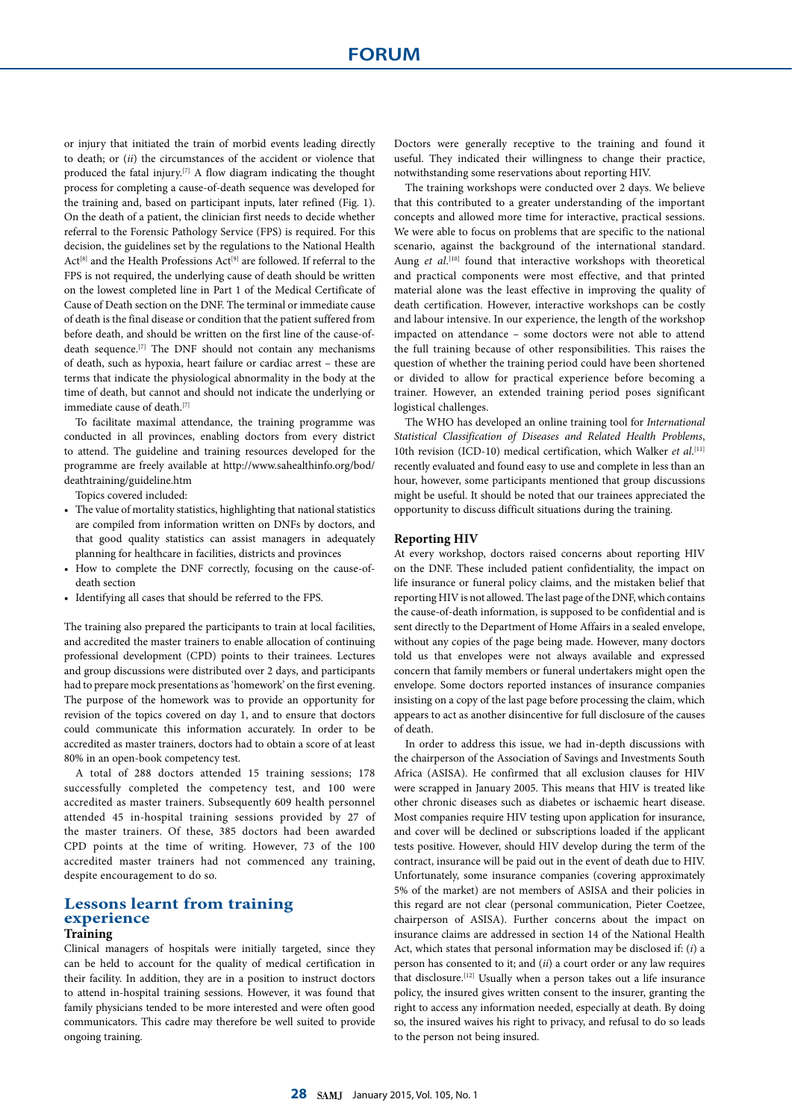or injury that initiated the train of morbid events leading directly to death; or (*ii*) the circumstances of the accident or violence that produced the fatal injury.<sup>[7]</sup> A flow diagram indicating the thought process for completing a cause-of-death sequence was developed for the training and, based on participant inputs, later refined (Fig. 1). On the death of a patient, the clinician first needs to decide whether referral to the Forensic Pathology Service (FPS) is required. For this decision, the guidelines set by the regulations to the National Health Act<sup>[8]</sup> and the Health Professions Act<sup>[9]</sup> are followed. If referral to the FPS is not required, the underlying cause of death should be written on the lowest completed line in Part 1 of the Medical Certificate of Cause of Death section on the DNF. The terminal or immediate cause of death is the final disease or condition that the patient suffered from before death, and should be written on the first line of the cause-ofdeath sequence.[7] The DNF should not contain any mechanisms of death, such as hypoxia, heart failure or cardiac arrest – these are terms that indicate the physiological abnormality in the body at the time of death, but cannot and should not indicate the underlying or immediate cause of death.[7]

To facilitate maximal attendance, the training programme was conducted in all provinces, enabling doctors from every district to attend. The guideline and training resources developed for the programme are freely available at http://www.sahealthinfo.org/bod/ deathtraining/guideline.htm

Topics covered included:

- The value of mortality statistics, highlighting that national statistics are compiled from information written on DNFs by doctors, and that good quality statistics can assist managers in adequately planning for healthcare in facilities, districts and provinces
- How to complete the DNF correctly, focusing on the cause-ofdeath section
- Identifying all cases that should be referred to the FPS.

The training also prepared the participants to train at local facilities, and accredited the master trainers to enable allocation of continuing professional development (CPD) points to their trainees. Lectures and group discussions were distributed over 2 days, and participants had to prepare mock presentations as 'homework' on the first evening. The purpose of the homework was to provide an opportunity for revision of the topics covered on day 1, and to ensure that doctors could communicate this information accurately. In order to be accredited as master trainers, doctors had to obtain a score of at least 80% in an open-book competency test.

A total of 288 doctors attended 15 training sessions; 178 successfully completed the competency test, and 100 were accredited as master trainers. Subsequently 609 health personnel attended 45 in-hospital training sessions provided by 27 of the master trainers. Of these, 385 doctors had been awarded CPD points at the time of writing. However, 73 of the 100 accredited master trainers had not commenced any training, despite encouragement to do so.

# **Lessons learnt from training experience**

# **Training**

Clinical managers of hospitals were initially targeted, since they can be held to account for the quality of medical certification in their facility. In addition, they are in a position to instruct doctors to attend in-hospital training sessions. However, it was found that family physicians tended to be more interested and were often good communicators. This cadre may therefore be well suited to provide ongoing training.

Doctors were generally receptive to the training and found it useful. They indicated their willingness to change their practice, notwithstanding some reservations about reporting HIV.

The training workshops were conducted over 2 days. We believe that this contributed to a greater understanding of the important concepts and allowed more time for interactive, practical sessions. We were able to focus on problems that are specific to the national scenario, against the background of the international standard. Aung et al.<sup>[10]</sup> found that interactive workshops with theoretical and practical components were most effective, and that printed material alone was the least effective in improving the quality of death certification. However, interactive workshops can be costly and labour intensive. In our experience, the length of the workshop impacted on attendance – some doctors were not able to attend the full training because of other responsibilities. This raises the question of whether the training period could have been shortened or divided to allow for practical experience before becoming a trainer. However, an extended training period poses significant logistical challenges.

The WHO has developed an online training tool for *International Statistical Classification of Diseases and Related Health Problems*, 10th revision (ICD-10) medical certification, which Walker *et al.*<sup>[11]</sup> recently evaluated and found easy to use and complete in less than an hour, however, some participants mentioned that group discussions might be useful. It should be noted that our trainees appreciated the opportunity to discuss difficult situations during the training.

#### **Reporting HIV**

At every workshop, doctors raised concerns about reporting HIV on the DNF. These included patient confidentiality, the impact on life insurance or funeral policy claims, and the mistaken belief that reporting HIV is not allowed. The last page of the DNF, which contains the cause-of-death information, is supposed to be confidential and is sent directly to the Department of Home Affairs in a sealed envelope, without any copies of the page being made. However, many doctors told us that envelopes were not always available and expressed concern that family members or funeral undertakers might open the envelope. Some doctors reported instances of insurance companies insisting on a copy of the last page before processing the claim, which appears to act as another disincentive for full disclosure of the causes of death.

In order to address this issue, we had in-depth discussions with the chairperson of the Association of Savings and Investments South Africa (ASISA). He confirmed that all exclusion clauses for HIV were scrapped in January 2005. This means that HIV is treated like other chronic diseases such as diabetes or ischaemic heart disease. Most companies require HIV testing upon application for insurance, and cover will be declined or subscriptions loaded if the applicant tests positive. However, should HIV develop during the term of the contract, insurance will be paid out in the event of death due to HIV. Unfortunately, some insurance companies (covering approximately 5% of the market) are not members of ASISA and their policies in this regard are not clear (personal communication, Pieter Coetzee, chairperson of ASISA). Further concerns about the impact on insurance claims are addressed in section 14 of the National Health Act, which states that personal information may be disclosed if: (*i*) a person has consented to it; and (*ii*) a court order or any law requires that disclosure.[12] Usually when a person takes out a life insurance policy, the insured gives written consent to the insurer, granting the right to access any information needed, especially at death. By doing so, the insured waives his right to privacy, and refusal to do so leads to the person not being insured.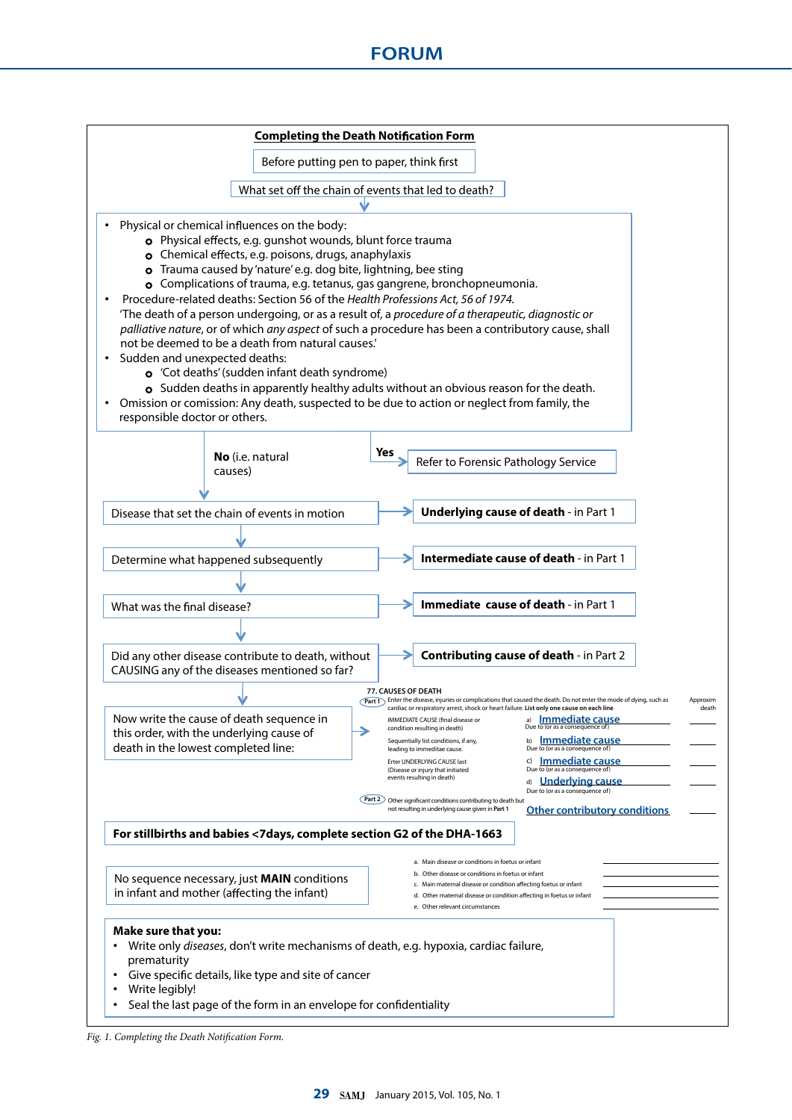# **FORUM**



*Fig. 1. Completing the Death Notification Form.*